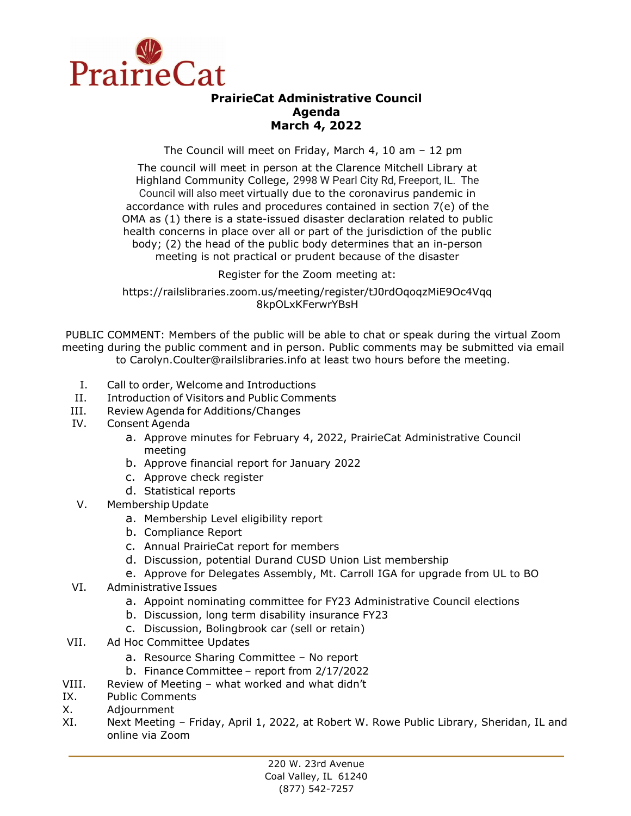

## **PrairieCat Administrative Council Agenda March 4, 2022**

The Council will meet on Friday, March 4, 10 am – 12 pm

The council will meet in person at the Clarence Mitchell Library at Highland Community College, 2998 W Pearl City Rd, Freeport, IL. The Council will also meet virtually due to the coronavirus pandemic in accordance with rules and procedures contained in section 7(e) of the OMA as (1) there is a state-issued disaster declaration related to public health concerns in place over all or part of the jurisdiction of the public body; (2) the head of the public body determines that an in-person meeting is not practical or prudent because of the disaster

Register for the Zoom meeting at:

https://railslibraries.zoom.us/meeting/register/tJ0rdOqoqzMiE9Oc4Vqq 8kpOLxKFerwrYBsH

PUBLIC COMMENT: Members of the public will be able to chat or speak during the virtual Zoom meeting during the public comment and in person. Public comments may be submitted via email to Carolyn.Coulter@railslibraries.info at least two hours before the meeting.

- I. Call to order, Welcome and Introductions
- II. Introduction of Visitors and Public Comments
- III. Review Agenda for Additions/Changes
- IV. Consent Agenda
	- a. Approve minutes for February 4, 2022, PrairieCat Administrative Council meeting
	- b. Approve financial report for January 2022
	- c. Approve check register
	- d. Statistical reports
- V. Membership Update
	- a. Membership Level eligibility report
	- b. Compliance Report
	- c. Annual PrairieCat report for members
	- d. Discussion, potential Durand CUSD Union List membership
	- e. Approve for Delegates Assembly, Mt. Carroll IGA for upgrade from UL to BO
- VI. Administrative Issues
	- a. Appoint nominating committee for FY23 Administrative Council elections
	- b. Discussion, long term disability insurance FY23
	- c. Discussion, Bolingbrook car (sell or retain)
- VII. Ad Hoc Committee Updates
	- a. Resource Sharing Committee No report
	- b. Finance Committee report from 2/17/2022
- VIII. Review of Meeting what worked and what didn't
- IX. Public Comments
- X. Adjournment
- XI. Next Meeting Friday, April 1, 2022, at Robert W. Rowe Public Library, Sheridan, IL and online via Zoom